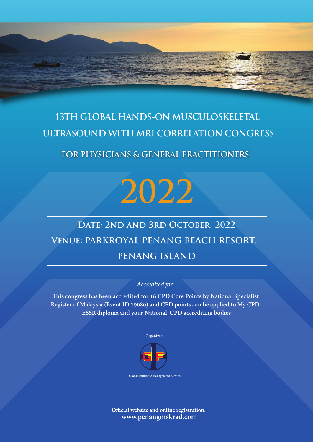# **13TH GLOBAL HANDS-ON MUSCULOSKELETAL ULTRASOUND WITH MRI CORRELATION CONGRESS**

## **FOR PHYSICIANS & GENERAL PRACTITIONERS**

# **2022**

# DATE: 2ND AND 3RD OCTOBER 2022 **Venue: PARKROYAL PENANG BEACH RESORT, PENANG ISLAND**

### *Accredited for:*

**is congress has been accredited for 16 CPD Core Points by National Specialist Register of Malaysia (Event ID 19080) and CPD points can be applied to My CPD, ESSR diploma and your National CPD accrediting bodies**



**Global Futuristic Management Services**

Official website and online registration: **www.penangmskrad.com**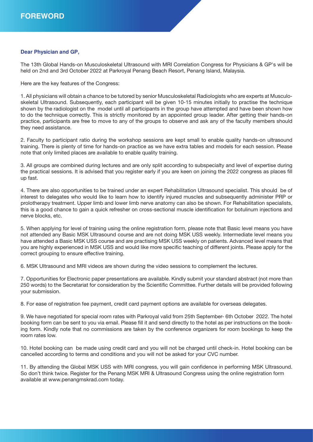#### **Dear Physician and GP,**

The 13th Global Hands-on Musculoskeletal Ultrasound with MRI Correlation Congress for Physicians & GP's will be held on 2nd and 3rd October 2022 at Parkroyal Penang Beach Resort, Penang Island, Malaysia.

Here are the key features of the Congress:

1. All physicians will obtain a chance to be tutored by senior Musculoskeletal Radiologists who are experts at Musculoskeletal Ultrasound. Subsequently, each participant will be given 10-15 minutes initially to practise the technique shown by the radiologist on the model until all participants in the group have attempted and have been shown how to do the technique correctly. This is strictly monitored by an appointed group leader. After getting their hands-on practice, participants are free to move to any of the groups to observe and ask any of the faculty members should they need assistance.

2. Faculty to participant ratio during the workshop sessions are kept small to enable quality hands-on ultrasound training. There is plenty of time for hands-on practice as we have extra tables and models for each session. Please note that only limited places are available to enable quality training.

3. All groups are combined during lectures and are only split according to subspecialty and level of expertise during the practical sessions. It is advised that you register early if you are keen on joining the 2022 congress as places fill up fast.

4. There are also opportunities to be trained under an expert Rehabilitation Ultrasound specialist. This should be of interest to delegates who would like to learn how to identify injured muscles and subsequently administer PRP or prolotherapy treatment. Upper limb and lower limb nerve anatomy can also be shown. For Rehabilitation specialists, this is a good chance to gain a quick refresher on cross-sectional muscle identification for botulinum injections and nerve blocks, etc.

5. When applying for level of training using the online registration form, please note that Basic level means you have not attended any Basic MSK Ultrasound course and are not doing MSK USS weekly. Intermediate level means you have attended a Basic MSK USS course and are practising MSK USS weekly on patients. Advanced level means that you are highly experienced in MSK USS and would like more specific teaching of different joints. Please apply for the correct grouping to ensure effective training.

6. MSK Ultrasound and MRI videos are shown during the video sessions to complement the lectures.

7. Opportunities for Electronic paper presentations are available. Kindly submit your standard abstract (not more than 250 words) to the Secretariat for consideration by the Scientific Committee. Further details will be provided following your submission.

8. For ease of registration fee payment, credit card payment options are available for overseas delegates.

9. We have negotiated for special room rates with Parkroyal valid from 25th September- 6th October 2022. The hotel booking form can be sent to you via email. Please fill it and send directly to the hotel as per instructions on the booking form. Kindly note that no commissions are taken by the conference organizers for room bookings to keep the room rates low.

10. Hotel booking can be made using credit card and you will not be charged until check-in. Hotel booking can be cancelled according to terms and conditions and you will not be asked for your CVC number.

11. By attending the Global MSK USS with MRI congress, you will gain confidence in performing MSK Ultrasound. So don't think twice. Register for the Penang MSK MRI & Ultrasound Congress using the online registration form available at www.penangmskrad.com today.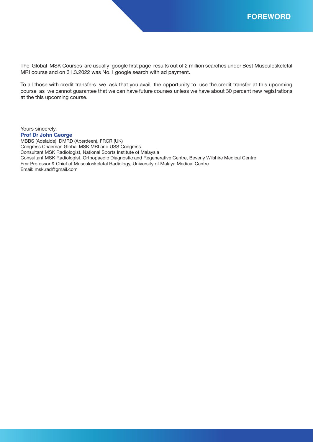The Global MSK Courses are usually google first page results out of 2 million searches under Best Musculoskeletal MRI course and on 31.3.2022 was No.1 google search with ad payment.

To all those with credit transfers we ask that you avail the opportunity to use the credit transfer at this upcoming course as we cannot guarantee that we can have future courses unless we have about 30 percent new registrations at the this upcoming course.

Yours sincerely, **Prof Dr John George** MBBS (Adelaide), DMRD (Aberdeen), FRCR (UK) Congress Chairman Global MSK MRI and USS Congress Consultant MSK Radiologist, National Sports Institute of Malaysia Consultant MSK Radiologist, Orthopaedic Diagnostic and Regenerative Centre, Beverly Wilshire Medical Centre Fmr Professor & Chief of Musculoskeletal Radiology, University of Malaya Medical Centre Email: msk.rad@gmail.com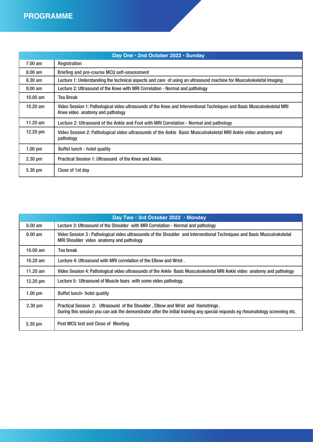| Day One · 2nd October 2022 · Sunday |                                                                                                                                                             |  |  |
|-------------------------------------|-------------------------------------------------------------------------------------------------------------------------------------------------------------|--|--|
| $7.00 \text{ am}$                   | Registration                                                                                                                                                |  |  |
| $8.00 \text{ am}$                   | Briefing and pre-course MCQ self-assessment                                                                                                                 |  |  |
| $8.30 \text{ am}$                   | Lecture 1: Understanding the technical aspects and care of using an ultrasound machine for Musculoskeletal Imaging                                          |  |  |
| $9.00$ am                           | Lecture 2: Ultrasound of the Knee with MRI Correlation - Normal and pathology                                                                               |  |  |
| $10.00$ am                          | <b>Tea Break</b>                                                                                                                                            |  |  |
| $10.20$ am                          | Video Session 1: Pathological video ultrasounds of the Knee and Interventional Techniques and Basic Musculoskeletal MRI<br>Knee video anatomy and pathology |  |  |
| 11.20 $am$                          | Lecture 2: Ultrasound of the Ankle and Foot with MRI Correlation - Normal and pathology                                                                     |  |  |
| $12.20 \text{ pm}$                  | Video Session 2: Pathological video ultrasounds of the Ankle Basic Musculoskeletal MRI Ankle video anatomy and<br>pathology                                 |  |  |
| $1.00 \text{ pm}$                   | Buffet lunch - hotel quality                                                                                                                                |  |  |
| $2.30$ pm                           | Practical Session 1: Ultrasound of the Knee and Ankle.                                                                                                      |  |  |
| 5.30 pm                             | Close of 1st day                                                                                                                                            |  |  |

| Day Two · 3rd October 2022 · Monday |                                                                                                                                                                                                                     |  |  |
|-------------------------------------|---------------------------------------------------------------------------------------------------------------------------------------------------------------------------------------------------------------------|--|--|
| $8.00 \text{ am}$                   | Lecture 3: Ultrasound of the Shoulder with MRI Correlation - Normal and pathology                                                                                                                                   |  |  |
| $9.00$ am                           | Video Session 3: Pathological video ultrasounds of the Shoulder and Interventional Techniques and Basic Musculoskeletal<br>MRI Shoulder video anatomy and pathology                                                 |  |  |
| $10.00$ am                          | Tea break                                                                                                                                                                                                           |  |  |
| $10.20$ am                          | Lecture 4: Ultrasound with MRI correlation of the Elbow and Wrist.                                                                                                                                                  |  |  |
| 11.20 $am$                          | Video Session 4: Pathological video ultrasounds of the Ankle Basic Musculoskeletal MRI Ankle video anatomy and pathology                                                                                            |  |  |
| 12.20 pm                            | Lecture 5: Ultrasound of Muscle tears with some video pathology.                                                                                                                                                    |  |  |
| $1.00$ pm                           | Buffet lunch- hotel quality                                                                                                                                                                                         |  |  |
| $2.30$ pm                           | Practical Session 2: Ultrasound of the Shoulder, Elbow and Wrist and Hamstrings.<br>During this session you can ask the demonstrator after the initial training any special requests eg rheumatology screening etc. |  |  |
| 5.30 pm                             | Post MCQ test and Close of Meeting.                                                                                                                                                                                 |  |  |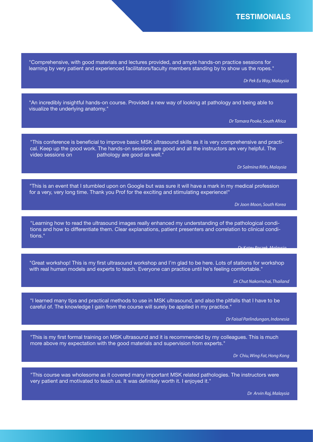"Comprehensive, with good materials and lectures provided, and ample hands-on practice sessions for learning by very patient and experienced facilitators/faculty members standing by to show us the ropes."

*Dr Pek Eu Way, Malaysia*

"An incredibly insightful hands-on course. Provided a new way of looking at pathology and being able to visualize the underlying anatomy."

*Dr Tamara Pooke, South Africa*

"This conference is beneficial to improve basic MSK ultrasound skills as it is very comprehensive and practical. Keep up the good work. The hands-on sessions are good and all the instructors are very helpful. The video sessions on pathology are good as well."

*Dr Salmina Rifin, Malaysia*

"This is an event that I stumbled upon on Google but was sure it will have a mark in my medical profession for a very, very long time. Thank you Prof for the exciting and stimulating experience!"

*Dr Joon Moon, South Korea*

"Learning how to read the ultrasound images really enhanced my understanding of the pathological conditions and how to differentiate them. Clear explanations, patient presenters and correlation to clinical conditions."

"Great workshop! This is my first ultrasound workshop and I'm glad to be here. Lots of stations for workshop with real human models and experts to teach. Everyone can practice until he's feeling comfortable."

*Dr Chut Nakornchai, Thailand*

*Dr Katey Paczek, Malaysia*

"I learned many tips and practical methods to use in MSK ultrasound, and also the pitfalls that I have to be careful of. The knowledge I gain from the course will surely be applied in my practice."

*Dr Faisal Parlindungan, Indonesia*

"This is my first formal training on MSK ultrasound and it is recommended by my colleagues. This is much more above my expectation with the good materials and supervision from experts."

*Dr Chiu, Wing Fat, Hong Kong*

"This course was wholesome as it covered many important MSK related pathologies. The instructors were very patient and motivated to teach us. It was definitely worth it. I enjoyed it."

*Dr Arvin Raj, Malaysia*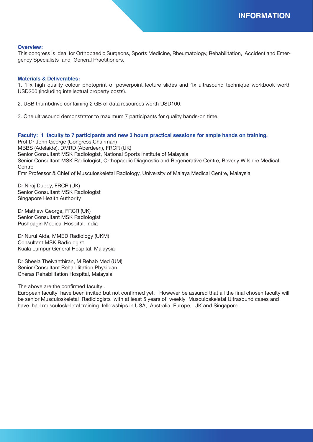#### **Overview:**

This congress is ideal for Orthopaedic Surgeons, Sports Medicine, Rheumatology, Rehabilitation, Accident and Emergency Specialists and General Practitioners.

#### **Materials & Deliverables:**

1. 1 x high quality colour photoprint of powerpoint lecture slides and 1x ultrasound technique workbook worth USD200 (including intellectual property costs).

2. USB thumbdrive containing 2 GB of data resources worth USD100.

3. One ultrasound demonstrator to maximum 7 participants for quality hands-on time.

#### **Faculty: 1 faculty to 7 participants and new 3 hours practical sessions for ample hands on training.**

Prof Dr John George (Congress Chairman) MBBS (Adelaide), DMRD (Aberdeen), FRCR (UK) Senior Consultant MSK Radiologist, National Sports Institute of Malaysia Senior Consultant MSK Radiologist, Orthopaedic Diagnostic and Regenerative Centre, Beverly Wilshire Medical Centre Fmr Professor & Chief of Musculoskeletal Radiology, University of Malaya Medical Centre, Malaysia

Dr Niraj Dubey, FRCR (UK) Senior Consultant MSK Radiologist Singapore Health Authority

Dr Mathew George, FRCR (UK) Senior Consultant MSK Radiologist Pushpagiri Medical Hospital, India

Dr Nurul Aida, MMED Radiology (UKM) Consultant MSK Radiologist Kuala Lumpur General Hospital, Malaysia

Dr Sheela Theivanthiran, M Rehab Med (UM) Senior Consultant Rehabilitation Physician Cheras Rehabilitation Hospital, Malaysia

The above are the confirmed faculty .

European faculty have been invited but not confirmed yet. However be assured that all the final chosen faculty will be senior Musculoskeletal Radiologists with at least 5 years of weekly Musculoskeletal Ultrasound cases and have had musculoskeletal training fellowships in USA, Australia, Europe, UK and Singapore.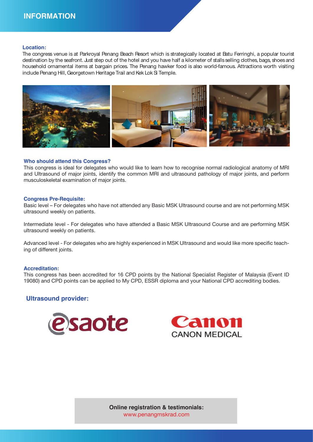#### **Location:**

The congress venue is at Parkroyal Penang Beach Resort which is strategically located at Batu Ferringhi, a popular tourist destination by the seafront. Just step out of the hotel and you have half a kilometer of stalls selling clothes, bags, shoes and household ornamental items at bargain prices. The Penang hawker food is also world-famous. Attractions worth visiting include Penang Hill, Georgetown Heritage Trail and Kek Lok Si Temple.



#### **Who should attend this Congress?**

This congress is ideal for delegates who would like to learn how to recognise normal radiological anatomy of MRI and Ultrasound of major joints, identify the common MRI and ultrasound pathology of major joints, and perform musculoskeletal examination of major joints.

#### **Congress Pre-Requisite:**

Basic level – For delegates who have not attended any Basic MSK Ultrasound course and are not performing MSK ultrasound weekly on patients.

Intermediate level - For delegates who have attended a Basic MSK Ultrasound Course and are performing MSK ultrasound weekly on patients.

Advanced level - For delegates who are highly experienced in MSK Ultrasound and would like more specific teaching of different joints.

#### **Accreditation:**

This congress has been accredited for 16 CPD points by the National Specialist Register of Malaysia (Event ID 19080) and CPD points can be applied to My CPD, ESSR diploma and your National CPD accrediting bodies.

#### **Ultrasound provider:**





**Online registration & testimonials:** www.penangmskrad.com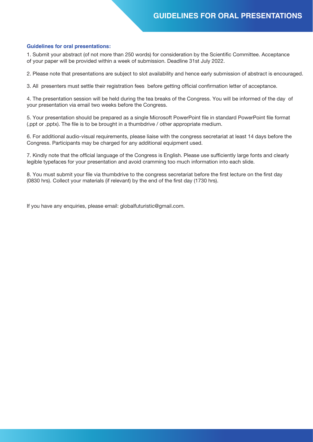#### **Guidelines for oral presentations:**

1. Submit your abstract (of not more than 250 words) for consideration by the Scientific Committee. Acceptance of your paper will be provided within a week of submission. Deadline 31st July 2022.

2. Please note that presentations are subject to slot availability and hence early submission of abstract is encouraged.

3. All presenters must settle their registration fees before getting official confirmation letter of acceptance.

4. The presentation session will be held during the tea breaks of the Congress. You will be informed of the day of your presentation via email two weeks before the Congress.

5. Your presentation should be prepared as a single Microsoft PowerPoint file in standard PowerPoint file format (.ppt or .pptx). The file is to be brought in a thumbdrive / other appropriate medium.

6. For additional audio-visual requirements, please liaise with the congress secretariat at least 14 days before the Congress. Participants may be charged for any additional equipment used.

7. Kindly note that the official language of the Congress is English. Please use sufficiently large fonts and clearly legible typefaces for your presentation and avoid cramming too much information into each slide.

8. You must submit your file via thumbdrive to the congress secretariat before the first lecture on the first day (0830 hrs). Collect your materials (if relevant) by the end of the first day (1730 hrs).

If you have any enquiries, please email: globalfuturistic@gmail.com.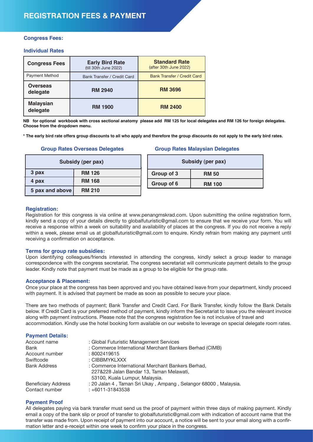#### **Congress Fees:**

#### **Individual Rates**

| <b>Congress Fees</b>         | <b>Early Bird Rate</b><br>(till 30th June 2022) | <b>Standard Rate</b><br>(after 30th June 2022) |
|------------------------------|-------------------------------------------------|------------------------------------------------|
| <b>Payment Method</b>        | Bank Transfer / Credit Card                     | Bank Transfer / Credit Card                    |
| <b>Overseas</b><br>delegate  | <b>RM 2940</b>                                  | <b>RM 3696</b>                                 |
| <b>Malaysian</b><br>delegate | <b>RM 1900</b>                                  | <b>RM 2400</b>                                 |

**NB for optional workbook with cross sectional anatomy please add RM 125 for local delegates and RM 126 for foreign delegates. Choose from the dropdown menu.** 

**\* The early bird rate offers group discounts to all who apply and therefore the group discounts do not apply to the early bird rates.**

#### **Group Rates Overseas Delegates**

| Subsidy (per pax) |               |  |
|-------------------|---------------|--|
| 3 pax             | <b>RM 126</b> |  |
| 4 pax             | <b>RM 168</b> |  |
| 5 pax and above   | <b>RM 210</b> |  |

#### **Group Rates Malaysian Delegates**

| Subsidy (per pax) |               |  |
|-------------------|---------------|--|
| Group of 3        | <b>RM 50</b>  |  |
| Group of 6        | <b>RM 100</b> |  |

#### **Registration:**

Registration for this congress is via online at www.penangmskrad.com. Upon submitting the online registration form, kindly send a copy of your details directly to globalfuturistic@gmail.com to ensure that we receive your form. You will receive a response within a week on suitability and availability of places at the congress. If you do not receive a reply within a week, please email us at globalfuturistic@gmail.com to enquire. Kindly refrain from making any payment until receiving a confirmation on acceptance.

#### **Terms for group rate subsidies:**

Upon identifying colleagues/friends interested in attending the congress, kindly select a group leader to manage correspondence with the congress secretariat. The congress secretariat will communicate payment details to the group leader. Kindly note that payment must be made as a group to be eligible for the group rate.

#### **Acceptance & Placement:**

Once your place at the congress has been approved and you have obtained leave from your department, kindly proceed with payment. It is advised that payment be made as soon as possible to secure your place.

There are two methods of payment; Bank Transfer and Credit Card. For Bank Transfer, kindly follow the Bank Details below. If Credit Card is your preferred method of payment, kindly inform the Secretariat to issue you the relevant invoice along with payment instructions. Please note that the congress registration fee is not inclusive of travel and accommodation. Kindly use the hotel booking form available on our website to leverage on special delegate room rates.

**Payment Details:**

| Account name               | : Global Futuristic Management Services                                                       |
|----------------------------|-----------------------------------------------------------------------------------------------|
| Bank                       | : Commerce International Merchant Bankers Berhad (CIMB)                                       |
| Account number             | : 8002419615                                                                                  |
| Swiftcode                  | : CIBBMYKLXXX                                                                                 |
| <b>Bank Address</b>        | : Commerce International Merchant Bankers Berhad,<br>227&228 Jalan Bandar 13, Taman Melawati, |
|                            | 53100, Kuala Lumpur, Malaysia.                                                                |
| <b>Beneficiary Address</b> | : 20 Jalan 4, Taman Sri Ukay, Ampang, Selangor 68000, Malaysia.                               |
| Contact number             | $: +6011 - 31843538$                                                                          |

#### **Payment Proof**

All delegates paying via bank transfer must send us the proof of payment within three days of making payment. Kindly email a copy of the bank slip or proof of transfer to globalfuturistic@gmail.com with indication of account name that the transfer was made from. Upon receipt of payment into our account, a notice will be sent to your email along with a confirmation letter and e-receipt within one week to confirm your place in the congress.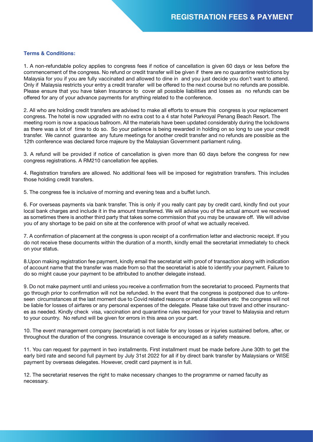#### **Terms & Conditions:**

1. A non-refundable policy applies to congress fees if notice of cancellation is given 60 days or less before the commencement of the congress. No refund or credit transfer will be given if there are no quarantine restrictions by Malaysia for you if you are fully vaccinated and allowed to dine in and you just decide you don't want to attend. Only if Malaysia restricts your entry a credit transfer will be offered to the next course but no refunds are possible. Please ensure that you have taken Insurance to cover all possible liabilities and losses as no refunds can be offered for any of your advance payments for anything related to the conference.

2. All who are holding credit transfers are advised to make all efforts to ensure this congress is your replacement congress. The hotel is now upgraded with no extra cost to a 4 star hotel Parkroyal Penang Beach Resort. The meeting room is now a spacious ballroom. All the materials have been updated considerably during the lockdowns as there was a lot of time to do so. So your patience is being rewarded in holding on so long to use your credit transfer. We cannot guarantee any future meetings for another credit transfer and no refunds are possible as the 12th conference was declared force majeure by the Malaysian Government parliament ruling.

3. A refund will be provided if notice of cancellation is given more than 60 days before the congress for new congress registrations. A RM210 cancellation fee applies.

4. Registration transfers are allowed. No additional fees will be imposed for registration transfers. This includes those holding credit transfers.

5. The congress fee is inclusive of morning and evening teas and a buffet lunch.

6. For overseas payments via bank transfer. This is only if you really cant pay by credit card, kindly find out your local bank charges and include it in the amount transferred. We will advise you of the actual amount we received as sometimes there is another third party that takes some commission that you may be unaware off. We will advise you of any shortage to be paid on site at the conference with proof of what we actually received.

7. A confirmation of placement at the congress is upon receipt of a confirmation letter and electronic receipt. If you do not receive these documents within the duration of a month, kindly email the secretariat immediately to check on your status.

8.Upon making registration fee payment, kindly email the secretariat with proof of transaction along with indication of account name that the transfer was made from so that the secretariat is able to identify your payment. Failure to do so might cause your payment to be attributed to another delegate instead.

9. Do not make payment until and unless you receive a confirmation from the secretariat to proceed. Payments that go through prior to confirmation will not be refunded. In the event that the congress is postponed due to unforeseen circumstances at the last moment due to Covid related reasons or natural disasters etc the congress will not be liable for losses of airfares or any personal expenses of the delegate. Please take out travel and other insurances as needed. Kindly check visa, vaccination and quarantine rules required for your travel to Malaysia and return to your country. No refund will be given for errors in this area on your part.

10. The event management company (secretariat) is not liable for any losses or injuries sustained before, after, or throughout the duration of the congress. Insurance coverage is encouraged as a safety measure.

11. You can request for payment in two installments. First installment must be made before June 30th to get the early bird rate and second full payment by July 31st 2022 for all if by direct bank transfer by Malaysians or WISE payment by overseas delegates. However, credit card payment is in full.

12. The secretariat reserves the right to make necessary changes to the programme or named faculty as necessary.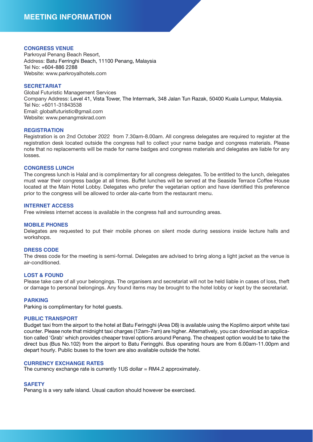#### **CONGRESS VENUE**

Parkroyal Penang Beach Resort, Address: Batu Ferringhi Beach, 11100 Penang, Malaysia Tel No: +604-886 2288 Website: www.parkroyalhotels.com

#### **SECRETARIAT**

Global Futuristic Management Services Company Address: Level 41, Vista Tower, The Intermark, 348 Jalan Tun Razak, 50400 Kuala Lumpur, Malaysia. Tel No: +6011-31843538 Email: globalfuturistic@gmail.com Website: www.penangmskrad.com

#### **REGISTRATION**

Registration is on 2nd October 2022 from 7.30am-8.00am. All congress delegates are required to register at the registration desk located outside the congress hall to collect your name badge and congress materials. Please note that no replacements will be made for name badges and congress materials and delegates are liable for any losses.

#### **CONGRESS LUNCH**

The congress lunch is Halal and is complimentary for all congress delegates. To be entitled to the lunch, delegates must wear their congress badge at all times. Buffet lunches will be served at the Seaside Terrace Coffee House located at the Main Hotel Lobby. Delegates who prefer the vegetarian option and have identified this preference prior to the congress will be allowed to order ala-carte from the restaurant menu.

#### **INTERNET ACCESS**

Free wireless internet access is available in the congress hall and surrounding areas.

#### **MOBILE PHONES**

Delegates are requested to put their mobile phones on silent mode during sessions inside lecture halls and workshops.

#### **DRESS CODE**

The dress code for the meeting is semi-formal. Delegates are advised to bring along a light jacket as the venue is air-conditioned.

#### **LOST & FOUND**

Please take care of all your belongings. The organisers and secretariat will not be held liable in cases of loss, theft or damage to personal belongings. Any found items may be brought to the hotel lobby or kept by the secretariat.

#### **PARKING**

Parking is complimentary for hotel guests.

#### **PUBLIC TRANSPORT**

Budget taxi from the airport to the hotel at Batu Feringghi (Area D8) is available using the Koplimo airport white taxi counter. Please note that midnight taxi charges (12am-7am) are higher. Alternatively, you can download an application called 'Grab' which provides cheaper travel options around Penang. The cheapest option would be to take the direct bus (Bus No.102) from the airport to Batu Feringghi. Bus operating hours are from 6.00am-11.00pm and depart hourly. Public buses to the town are also available outside the hotel.

#### **CURRENCY EXCHANGE RATES**

The currency exchange rate is currently 1US dollar = RM4.2 approximately.

#### **SAFETY**

Penang is a very safe island. Usual caution should however be exercised.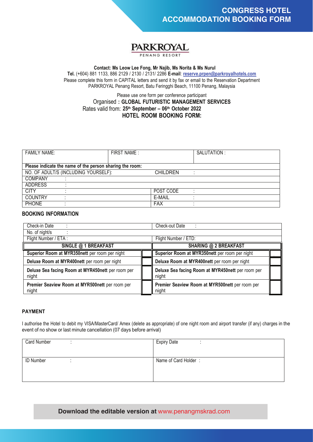

#### **Contact: Ms Leow Lee Fong, Mr Najib, Ms Norita & Ms Nurul**

**Tel.** (+604) 881 1133, 886 2129 / 2130 / 2131/ 2286 **E-mail**: **reserve.prpen@parkroyalhotels.com** Please complete this form in CAPITAL letters and send it by fax or email to the Reservation Department PARKROYAL Penang Resort, Batu Feringghi Beach, 11100 Penang, Malaysia

#### Please use one form per conference participant Organised **: GLOBAL FUTURISTIC MANAGEMENT SERVICES 25th September – 06th October 2022** Rates valid from:**HOTEL ROOM BOOKING FORM:**

| <b>FAMILY NAME:</b>                                      | FIRST NAME: |                 | SALUTATION: |
|----------------------------------------------------------|-------------|-----------------|-------------|
|                                                          |             |                 |             |
| Please indicate the name of the person sharing the room: |             |                 |             |
| NO. OF ADULT/S (INCLUDING YOURSELF):                     |             | <b>CHILDREN</b> |             |
| <b>COMPANY</b>                                           |             |                 |             |
| <b>ADDRESS</b>                                           |             |                 |             |
| <b>CITY</b>                                              |             | POST CODE       |             |
| <b>COUNTRY</b>                                           |             | E-MAIL          |             |
| <b>PHONE</b>                                             |             | <b>FAX</b>      |             |

#### **BOOKING INFORMATION**

| Check-in Date                                              |  | Check-out Date                                             |  |
|------------------------------------------------------------|--|------------------------------------------------------------|--|
| No. of night/s                                             |  |                                                            |  |
| Flight Number / ETA:                                       |  | Flight Number / ETD:                                       |  |
| <b>SINGLE @ 1 BREAKFAST</b>                                |  | <b>SHARING @ 2 BREAKFAST</b>                               |  |
| Superior Room at MYR350nett per room per night             |  | Superior Room at MYR350nett per room per night             |  |
| Deluxe Room at MYR400nett per room per night               |  | Deluxe Room at MYR400nett per room per night               |  |
| Deluxe Sea facing Room at MYR450nett per room per<br>night |  | Deluxe Sea facing Room at MYR450nett per room per<br>night |  |
| Premier Seaview Room at MYR500nett per room per<br>night   |  | Premier Seaview Room at MYR500nett per room per<br>night   |  |

#### **PAYMENT**

I authorise the Hotel to debit my VISA/MasterCard/ Amex (delete as appropriate) of one night room and airport transfer (if any) charges in the event of no show or last minute cancellation (07 days before arrival)

| <b>Card Number</b> | <b>Expiry Date</b>   |
|--------------------|----------------------|
|                    |                      |
|                    |                      |
| <b>ID Number</b>   | Name of Card Holder: |
|                    |                      |
|                    |                      |
|                    |                      |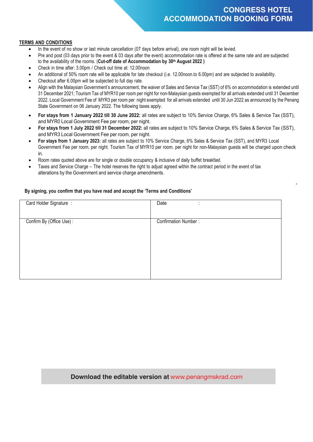## **CONGRESS HOTEL ACCOMMODATION BOOKING FORM**

-

#### **TERMS AND CONDITIONS**

- In the event of no show or last minute cancellation (07 days before arrival), one room night will be levied.
- Pre and post (03 days prior to the event & 03 days after the event) accommodation rate is offered at the same rate and are subjected to the availability of the rooms. (**Cut-off date of Accommodation by 30th August 2022 )**
- Check in time after: 3.00pm / Check out time at: 12.00noon
- An additional of 50% room rate will be applicable for late checkout (i.e. 12.00noon.to 6.00pm) and are subjected to availability.
- Checkout after 6.00pm will be subjected to full day rate.
- Align with the Malaysian Government's announcement, the waiver of Sales and Service Tax (SST) of 6% on accommodation is extended until 31 December 2021; Tourism Tax of MYR10 per room per night for non-Malaysian guests exempted for all arrivals extended until 31 December 2022. Local Government Fee of MYR3 per room per night exempted for all arrivals extended until 30 Jun 2022 as announced by the Penang State Government on 06 January 2022. The following taxes apply.
- **For stays from 1 January 2022 till 30 June 2022:** all rates are subject to 10% Service Charge, 6% Sales & Service Tax (SST), and MYR0 Local Government Fee per room, per night.
- **For stays from 1 July 2022 till 31 December 2022:** all rates are subject to 10% Service Charge, 6% Sales & Service Tax (SST), and MYR3 Local Government Fee per room, per night.
- **For stays from 1 January 2023:** all rates are subject to 10% Service Charge, 6% Sales & Service Tax (SST), and MYR3 Local Government Fee per room, per night. Tourism Tax of MYR10 per room, per night for non-Malaysian guests will be charged upon check in.
- Room rates quoted above are for single or double occupancy & inclusive of daily buffet breakfast.
- Taxes and Service Charge The hotel reserves the right to adjust agreed within the contract period in the event of tax alterations by the Government and service charge amendments.

#### **By signing, you confirm that you have read and accept the 'Terms and Conditions'**

| Confirm By (Office Use):<br>Confirmation Number: | Card Holder Signature : | Date<br>٠<br>$\blacksquare$ |
|--------------------------------------------------|-------------------------|-----------------------------|
|                                                  |                         |                             |

#### **Download the editable version at** www.penangmskrad.com